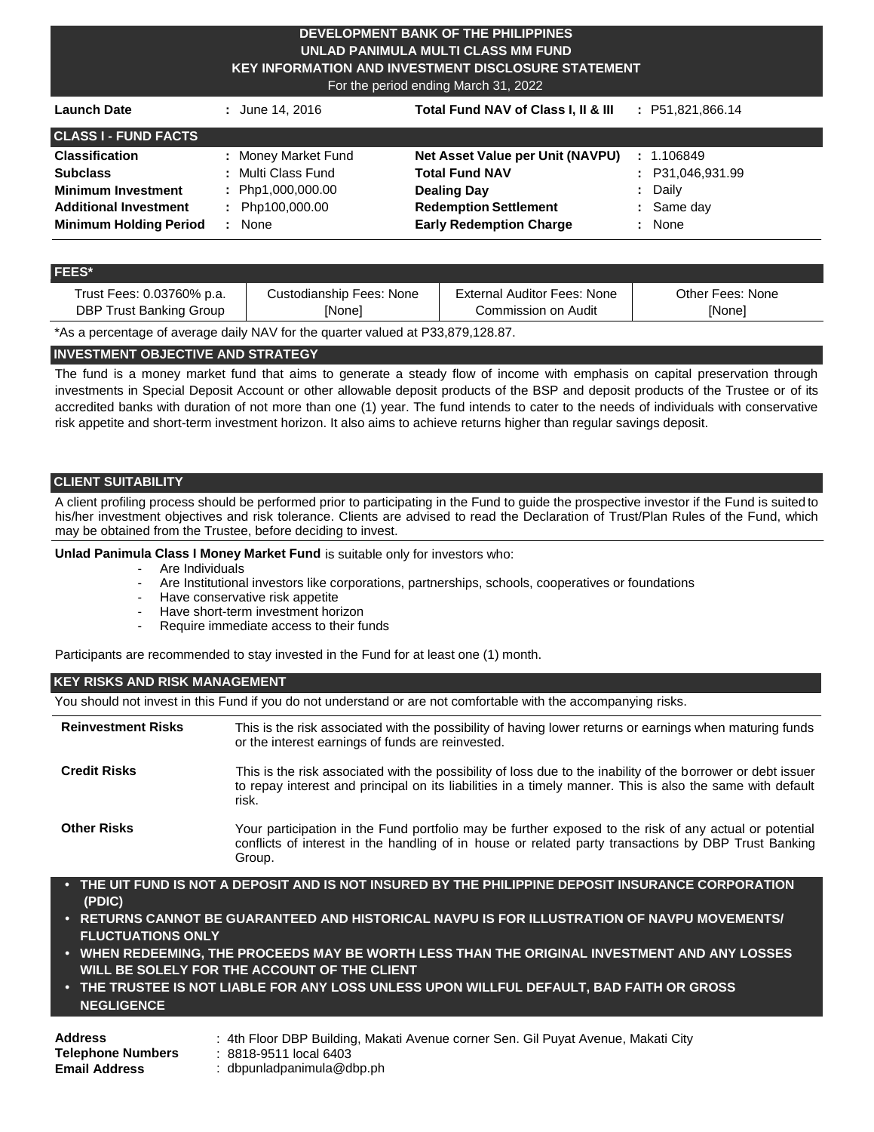## **DEVELOPMENT BANK OF THE PHILIPPINES UNLAD PANIMULA MULTI CLASS MM FUND KEY INFORMATION AND INVESTMENT DISCLOSURE STATEMENT**

For the period ending March 31, 2022

| <b>Launch Date</b>            | : June 14, 2016                 | Total Fund NAV of Class I, II & III | : P51,821,866.14 |
|-------------------------------|---------------------------------|-------------------------------------|------------------|
| <b>CLASS I - FUND FACTS</b>   |                                 |                                     |                  |
| <b>Classification</b>         | : Money Market Fund             | Net Asset Value per Unit (NAVPU)    | : 1.106849       |
| <b>Subclass</b>               | : Multi Class Fund              | <b>Total Fund NAV</b>               | : P31,046,931.99 |
| <b>Minimum Investment</b>     | : Php1,000,000.00               | <b>Dealing Day</b>                  | Daily            |
| <b>Additional Investment</b>  | Php100,000.00<br>$\mathbb{R}^n$ | <b>Redemption Settlement</b>        | $:$ Same day     |
| <b>Minimum Holding Period</b> | None                            | <b>Early Redemption Charge</b>      | None<br>÷.       |

#### **FEES\***

| Trust Fees: 0.03760% p.a. | Custodianship Fees: None | External Auditor Fees: None | Other Fees: None |
|---------------------------|--------------------------|-----------------------------|------------------|
| DBP Trust Banking Group   | [None]                   | Commission on Audit         | [None]           |

\*As a percentage of average daily NAV for the quarter valued at P33,879,128.87.

# **INVESTMENT OBJECTIVE AND STRATEGY**

The fund is a money market fund that aims to generate a steady flow of income with emphasis on capital preservation through investments in Special Deposit Account or other allowable deposit products of the BSP and deposit products of the Trustee or of its accredited banks with duration of not more than one (1) year. The fund intends to cater to the needs of individuals with conservative risk appetite and short-term investment horizon. It also aims to achieve returns higher than regular savings deposit.

## **CLIENT SUITABILITY**

A client profiling process should be performed prior to participating in the Fund to guide the prospective investor if the Fund is suited to his/her investment objectives and risk tolerance. Clients are advised to read the Declaration of Trust/Plan Rules of the Fund, which may be obtained from the Trustee, before deciding to invest.

#### **Unlad Panimula Class I Money Market Fund** is suitable only for investors who:

- Are Individuals
- Are Institutional investors like corporations, partnerships, schools, cooperatives or foundations
- Have conservative risk appetite
- Have short-term investment horizon
- Require immediate access to their funds

Participants are recommended to stay invested in the Fund for at least one (1) month.

#### **KEY RISKS AND RISK MANAGEMENT**

|                                                                                                                                                                                                                                                                                                                                                                                                                                                                                                          | You should not invest in this Fund if you do not understand or are not comfortable with the accompanying risks.                                                                                                                                                                                                                                                                                     |  |  |  |  |
|----------------------------------------------------------------------------------------------------------------------------------------------------------------------------------------------------------------------------------------------------------------------------------------------------------------------------------------------------------------------------------------------------------------------------------------------------------------------------------------------------------|-----------------------------------------------------------------------------------------------------------------------------------------------------------------------------------------------------------------------------------------------------------------------------------------------------------------------------------------------------------------------------------------------------|--|--|--|--|
| <b>Reinvestment Risks</b>                                                                                                                                                                                                                                                                                                                                                                                                                                                                                | This is the risk associated with the possibility of having lower returns or earnings when maturing funds<br>or the interest earnings of funds are reinvested.<br>This is the risk associated with the possibility of loss due to the inability of the borrower or debt issuer<br>to repay interest and principal on its liabilities in a timely manner. This is also the same with default<br>risk. |  |  |  |  |
| <b>Credit Risks</b>                                                                                                                                                                                                                                                                                                                                                                                                                                                                                      |                                                                                                                                                                                                                                                                                                                                                                                                     |  |  |  |  |
| <b>Other Risks</b>                                                                                                                                                                                                                                                                                                                                                                                                                                                                                       | Your participation in the Fund portfolio may be further exposed to the risk of any actual or potential<br>conflicts of interest in the handling of in house or related party transactions by DBP Trust Banking<br>Group.                                                                                                                                                                            |  |  |  |  |
| • THE UIT FUND IS NOT A DEPOSIT AND IS NOT INSURED BY THE PHILIPPINE DEPOSIT INSURANCE CORPORATION<br>(PDIC)<br>• RETURNS CANNOT BE GUARANTEED AND HISTORICAL NAVPU IS FOR ILLUSTRATION OF NAVPU MOVEMENTS/<br><b>FLUCTUATIONS ONLY</b><br>• WHEN REDEEMING, THE PROCEEDS MAY BE WORTH LESS THAN THE ORIGINAL INVESTMENT AND ANY LOSSES<br>WILL BE SOLELY FOR THE ACCOUNT OF THE CLIENT<br>• THE TRUSTEE IS NOT LIABLE FOR ANY LOSS UNLESS UPON WILLFUL DEFAULT, BAD FAITH OR GROSS<br><b>NEGLIGENCE</b> |                                                                                                                                                                                                                                                                                                                                                                                                     |  |  |  |  |
|                                                                                                                                                                                                                                                                                                                                                                                                                                                                                                          |                                                                                                                                                                                                                                                                                                                                                                                                     |  |  |  |  |

**Address** : 4th Floor DBP Building, Makati Avenue corner Sen. Gil Puyat Avenue, Makati City

**Email Address** : [dbpunladpanimula@dbp.ph](mailto:dbpunladpanimula@dbp.ph)